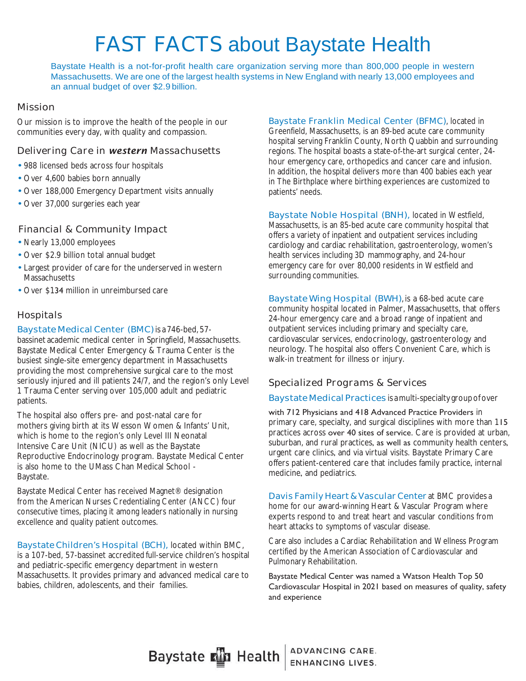# FAST FACTS about Baystate Health

Baystate Health is a not-for-profit health care organization serving more than 800,000 people in western Massachusetts. We are one of the largest health systems in New England with nearly 13,000 employees and an annual budget of over \$2.9 billion.

### *Mission*

Our mission is to improve the health of the people in our communities every day, with quality and compassion.

### *Delivering Care in western Massachusetts*

- 988 licensed beds across four hospitals
- Over 4,600 babies born annually
- Over 188,000 Emergency Department visits annually
- Over 37,000 surgeries each year

### *Financial & Community Impact*

- Nearly 13,000 employees
- Over \$2.9 billion total annual budget
- Largest provider of care for the underserved in western Massachusetts
- Over \$134 million in unreimbursed care

### *Hospitals*

## Baystate Medical Center (BMC) is a 746-bed, 57-

bassinet academic medical center in Springfield, Massachusetts. Baystate Medical Center Emergency & Trauma Center is the busiest single-site emergency department in Massachusetts providing the most comprehensive surgical care to the most seriously injured and ill patients 24/7, and the region's only Level 1 Trauma Center serving over 105,000 adult and pediatric patients.

The hospital also offers pre- and post-natal care for mothers giving birth at its Wesson Women & Infants' Unit, which is home to the region's only Level III Neonatal Intensive Care Unit (NICU) as well as the Baystate Reproductive Endocrinology program. Baystate Medical Center is also home to the UMass Chan Medical School - Baystate.

Baystate Medical Center has received Magnet® designation from the American Nurses Credentialing Center (ANCC) four consecutive times, placing it among leaders nationally in nursing excellence and quality patient outcomes.

Baystate Children's Hospital (BCH), located within BMC, is a 107-bed, 57-bassinet accredited full-service children's hospital and pediatric-specific emergency department in western Massachusetts. It provides primary and advanced medical care to babies, children, adolescents, and their families.

Baystate Franklin Medical Center (BFMC), located in Greenfield, Massachusetts, is an 89-bed acute care community hospital serving Franklin County, North Quabbin and surrounding regions. The hospital boasts a state-of-the-art surgical center, 24 hour emergency care, orthopedics and cancer care and infusion. In addition, the hospital delivers more than 400 babies each year in The Birthplace where birthing experiences are customized to patients' needs.

Baystate Noble Hospital (BNH), located in Westfield, Massachusetts, is an 85-bed acute care community hospital that offers a variety of inpatient and outpatient services including cardiology and cardiac rehabilitation, gastroenterology, women's health services including 3D mammography, and 24-hour emergency care for over 80,000 residents in Westfield and surrounding communities.

Baystate Wing Hospital (BWH), is a 68-bed acute care community hospital located in Palmer, Massachusetts, that offers 24-hour emergency care and a broad range of inpatient and outpatient services including primary and specialty care, cardiovascular services, endocrinology, gastroenterology and neurology. The hospital also offers Convenient Care, which is walk-in treatment for illness or injury.

### *Specialized Programs & Services*

### Baystate Medical Practices isa multi-specialty group of over

with 712 Physicians and 418 Advanced Practice Providers in primary care, specialty, and surgical disciplines with more than 1 practices across over 40 sites of service. Care is provided at urban, suburban, and rural practices, as well as community health centers, urgent care clinics, and via virtual visits. Baystate Primary Care offers patient-centered care that includes family practice, internal medicine, and pediatrics.

Davis Family Heart & Vascular Center at BMC provides a home for our award-winning Heart & Vascular Program where experts respond to and treat heart and vascular conditions from heart attacks to symptoms of vascular disease.

Care also includes a Cardiac Rehabilitation and Wellness Program certified by the American Association of Cardiovascular and Pulmonary Rehabilitation.

Baystate Medical Center was named a Watson Health Top 50 Cardiovascular Hospital in 2021 based on measures of quality, safety and experience